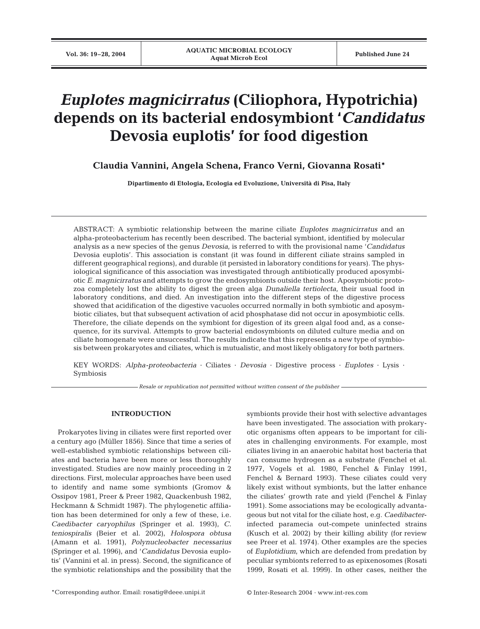# *Euplotes magnicirratus* **(Ciliophora, Hypotrichia) depends on its bacterial endosymbiont '***Candidatus* **Devosia euplotis' for food digestion**

**Claudia Vannini, Angela Schena, Franco Verni, Giovanna Rosati\***

**Dipartimento di Etologia, Ecologia ed Evoluzione, Università di Pisa, Italy**

ABSTRACT: A symbiotic relationship between the marine ciliate *Euplotes magnicirratus* and an alpha-proteobacterium has recently been described. The bacterial symbiont, identified by molecular analysis as a new species of the genus *Devosia*, is referred to with the provisional name '*Candidatus* Devosia euplotis'. This association is constant (it was found in different ciliate strains sampled in different geographical regions), and durable (it persisted in laboratory conditions for years). The physiological significance of this association was investigated through antibiotically produced aposymbiotic *E. magnicirratus* and attempts to grow the endosymbionts outside their host. Aposymbiotic protozoa completely lost the ability to digest the green alga *Dunaliella tertiolecta*, their usual food in laboratory conditions, and died. An investigation into the different steps of the digestive process showed that acidification of the digestive vacuoles occurred normally in both symbiotic and aposymbiotic ciliates, but that subsequent activation of acid phosphatase did not occur in aposymbiotic cells. Therefore, the ciliate depends on the symbiont for digestion of its green algal food and, as a consequence, for its survival. Attempts to grow bacterial endosymbionts on diluted culture media and on ciliate homogenate were unsuccessful. The results indicate that this represents a new type of symbiosis between prokaryotes and ciliates, which is mutualistic, and most likely obligatory for both partners.

KEY WORDS: *Alpha-proteobacteria* · Ciliates · *Devosia* · Digestive process · *Euplotes* · Lysis · Symbiosis

*Resale or republication not permitted without written consent of the publisher*

# **INTRODUCTION**

Prokaryotes living in ciliates were first reported over a century ago (Müller 1856). Since that time a series of well-established symbiotic relationships between ciliates and bacteria have been more or less thoroughly investigated. Studies are now mainly proceeding in 2 directions. First, molecular approaches have been used to identify and name some symbionts (Gromov & Ossipov 1981, Preer & Preer 1982, Quackenbush 1982, Heckmann & Schmidt 1987). The phylogenetic affiliation has been determined for only a few of these, i.e. *Caedibacter caryophilus* (Springer et al. 1993), *C. teniospiralis* (Beier et al. 2002), *Holospora obtusa* (Amann et al. 1991), *Polynucleobacter necessarius* (Springer et al. 1996), and '*Candidatus* Devosia euplotis' (Vannini et al. in press). Second, the significance of the symbiotic relationships and the possibility that the symbionts provide their host with selective advantages have been investigated. The association with prokaryotic organisms often appears to be important for ciliates in challenging environments. For example, most ciliates living in an anaerobic habitat host bacteria that can consume hydrogen as a substrate (Fenchel et al. 1977, Vogels et al. 1980, Fenchel & Finlay 1991, Fenchel & Bernard 1993). These ciliates could very likely exist without symbionts, but the latter enhance the ciliates' growth rate and yield (Fenchel & Finlay 1991). Some associations may be ecologically advantageous but not vital for the ciliate host, e.g. *Caedibacter*infected paramecia out-compete uninfected strains (Kusch et al. 2002) by their killing ability (for review see Preer et al. 1974). Other examples are the species of *Euplotidium*, which are defended from predation by peculiar symbionts referred to as epixenosomes (Rosati 1999, Rosati et al. 1999). In other cases, neither the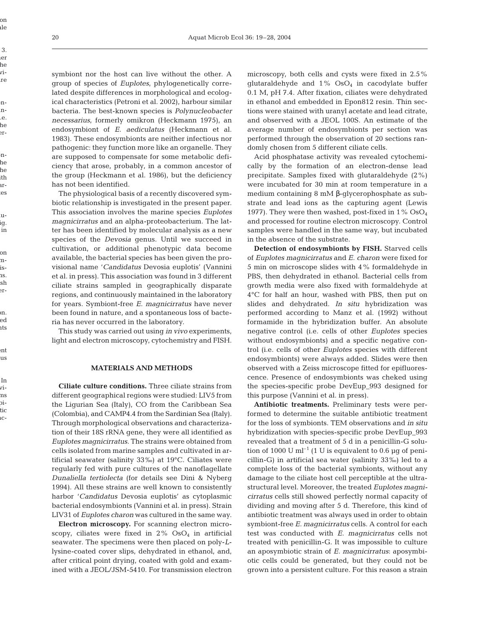on

her

ith

in

on

ish

ed

ent

In

tic

symbiont nor the host can live without the other. A group of species of *Euplotes*, phylogenetically correlated despite differences in morphological and ecological characteristics (Petroni et al. 2002), harbour similar bacteria. The best-known species is *Polynucleobacter necessarius*, formerly omikron (Heckmann 1975), an endosymbiont of *E. aediculatus* (Heckmann et al. 1983). These endosymbionts are neither infectious nor pathogenic: they function more like an organelle. They are supposed to compensate for some metabolic deficiency that arose, probably, in a common ancestor of the group (Heckmann et al. 1986), but the deficiency has not been identified.

The physiological basis of a recently discovered symbiotic relationship is investigated in the present paper. This association involves the marine species *Euplotes magnicirratus* and an alpha-proteobacterium. The latter has been identified by molecular analysis as a new species of the *Devosia* genus. Until we succeed in cultivation, or additional phenotypic data become available, the bacterial species has been given the provisional name '*Candidatus* Devosia euplotis' (Vannini et al. in press). This association was found in 3 different ciliate strains sampled in geographically disparate regions, and continuously maintained in the laboratory for years. Symbiont-free *E. magnicirratus* have never been found in nature, and a spontaneous loss of bacteria has never occurred in the laboratory.

This study was carried out using *in vivo* experiments, light and electron microscopy, cytochemistry and FISH.

## **MATERIALS AND METHODS**

**Ciliate culture conditions.** Three ciliate strains from different geographical regions were studied: LIV5 from the Ligurian Sea (Italy), CO from the Caribbean Sea (Colombia), and CAMP4.4 from the Sardinian Sea (Italy). Through morphological observations and characterization of their 18S rRNA gene, they were all identified as *Euplotes magnicirratus*. The strains were obtained from cells isolated from marine samples and cultivated in artificial seawater (salinity 33‰) at 19°C. Ciliates were regularly fed with pure cultures of the nanoflagellate *Dunaliella tertiolecta* (for details see Dini & Nyberg 1994). All these strains are well known to consistently harbor '*Candidatus* Devosia euplotis' as cytoplasmic bacterial endosymbionts (Vannini et al. in press). Strain LIV31 of *Euplotes charon* was cultured in the same way.

**Electron microscopy.** For scanning electron microscopy, ciliates were fixed in  $2\%$  OsO<sub>4</sub> in artificial seawater. The specimens were then placed on poly-*L*lysine-coated cover slips, dehydrated in ethanol, and, after critical point drying, coated with gold and examined with a JEOL/JSM-5410. For transmission electron microscopy, both cells and cysts were fixed in 2.5% glutaraldehyde and  $1\%$  OsO<sub>4</sub> in cacodylate buffer 0.1 M, pH 7.4. After fixation, ciliates were dehydrated in ethanol and embedded in Epon812 resin. Thin sections were stained with uranyl acetate and lead citrate, and observed with a JEOL 100S. An estimate of the average number of endosymbionts per section was performed through the observation of 20 sections randomly chosen from 5 different ciliate cells.

Acid phosphatase activity was revealed cytochemically by the formation of an electron-dense lead precipitate. Samples fixed with glutaraldehyde (2%) were incubated for 30 min at room temperature in a medium containing 8 mM β-glycerophosphate as substrate and lead ions as the capturing agent (Lewis 1977). They were then washed, post-fixed in  $1\%$  OsO<sub>4</sub> and processed for routine electron microscopy. Control samples were handled in the same way, but incubated in the absence of the substrate.

**Detection of endosymbionts by FISH.** Starved cells of *Euplotes magnicirratus* and *E. charon* were fixed for 5 min on microscope slides with 4% formaldehyde in PBS, then dehydrated in ethanol. Bacterial cells from growth media were also fixed with formaldehyde at 4°C for half an hour, washed with PBS, then put on slides and dehydrated. *In situ* hybridization was performed according to Manz et al. (1992) without formamide in the hybridization buffer. An absolute negative control (i.e. cells of other *Euplotes* species without endosymbionts) and a specific negative control (i.e. cells of other *Euplotes* species with different endosymbionts) were always added. Slides were then observed with a Zeiss microscope fitted for epifluorescence. Presence of endosymbionts was cheked using the species-specific probe DevEup\_993 designed for this purpose (Vannini et al. in press).

**Antibiotic treatments.** Preliminary tests were performed to determine the suitable antibiotic treatment for the loss of symbionts. TEM observations and *in situ* hybridization with species-specific probe DevEup\_993 revealed that a treatment of 5 d in a penicillin-G solution of 1000 U ml<sup>-1</sup> (1 U is equivalent to 0.6 µg of penicillin-G) in artificial sea water (salinity 33‰) led to a complete loss of the bacterial symbionts, without any damage to the ciliate host cell perceptible at the ultrastructural level. Moreover, the treated *Euplotes magnicirratus* cells still showed perfectly normal capacity of dividing and moving after 5 d. Therefore, this kind of antibiotic treatment was always used in order to obtain symbiont-free *E. magnicirratus* cells. A control for each test was conducted with *E. magnicirratus* cells not treated with penicillin-G. It was impossible to culture an aposymbiotic strain of *E. magnicirratus*: aposymbiotic cells could be generated, but they could not be grown into a persistent culture. For this reason a strain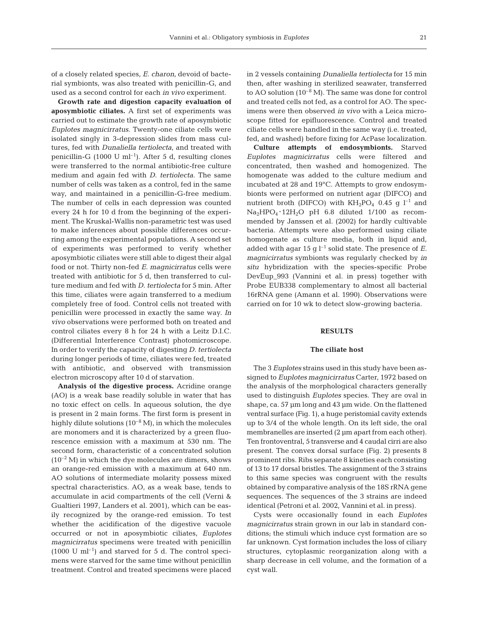of a closely related species, *E. charon*, devoid of bacterial symbionts, was also treated with penicillin-G, and used as a second control for each *in vivo* experiment.

**Growth rate and digestion capacity evaluation of aposymbiotic ciliates.** A first set of experiments was carried out to estimate the growth rate of aposymbiotic *Euplotes magnicirratus*. Twenty-one ciliate cells were isolated singly in 3-depression slides from mass cultures, fed with *Dunaliella tertiolecta*, and treated with penicillin-G (1000 U ml<sup>-1</sup>). After 5 d, resulting clones were transferred to the normal antibiotic-free culture medium and again fed with *D*. *tertiolecta*. The same number of cells was taken as a control, fed in the same way, and maintained in a penicillin-G-free medium. The number of cells in each depression was counted every 24 h for 10 d from the beginning of the experiment. The Kruskal-Wallis non-parametric test was used to make inferences about possible differences occurring among the experimental populations. A second set of experiments was performed to verify whether aposymbiotic ciliates were still able to digest their algal food or not. Thirty non-fed *E. magnicirratus* cells were treated with antibiotic for 5 d, then transferred to culture medium and fed with *D. tertiolecta* for 5 min. After this time, ciliates were again transferred to a medium completely free of food. Control cells not treated with penicillin were processed in exactly the same way. *In vivo* observations were performed both on treated and control ciliates every 8 h for 24 h with a Leitz D.I.C. (Differential Interference Contrast) photomicroscope. In order to verify the capacity of digesting *D. tertiolecta* during longer periods of time, ciliates were fed, treated with antibiotic, and observed with transmission electron microscopy after 10 d of starvation.

**Analysis of the digestive process.** Acridine orange (AO) is a weak base readily soluble in water that has no toxic effect on cells. In aqueous solution, the dye is present in 2 main forms. The first form is present in highly dilute solutions  $(10^{-8} M)$ , in which the molecules are monomers and it is characterized by a green fluorescence emission with a maximum at 530 nm. The second form, characteristic of a concentrated solution  $(10^{-2}$  M) in which the dye molecules are dimers, shows an orange-red emission with a maximum at 640 nm. AO solutions of intermediate molarity possess mixed spectral characteristics. AO, as a weak base, tends to accumulate in acid compartments of the cell (Verni & Gualtieri 1997, Landers et al. 2001), which can be easily recognized by the orange-red emission. To test whether the acidification of the digestive vacuole occurred or not in aposymbiotic ciliates, *Euplotes magnicirratus* specimens were treated with penicillin  $(1000 \text{ U ml}^{-1})$  and starved for 5 d. The control specimens were starved for the same time without penicillin treatment. Control and treated specimens were placed

in 2 vessels containing *Dunaliella tertiolecta* for 15 min then, after washing in sterilized seawater, transferred to AO solution  $(10^{-8} M)$ . The same was done for control and treated cells not fed, as a control for AO. The specimens were then observed *in vivo* with a Leica microscope fitted for epifluorescence. Control and treated ciliate cells were handled in the same way (i.e. treated, fed, and washed) before fixing for AcPase localization.

**Culture attempts of endosymbionts.** Starved *Euplotes magnicirratus* cells were filtered and concentrated, then washed and homogenized. The homogenate was added to the culture medium and incubated at 28 and 19°C. Attempts to grow endosymbionts were performed on nutrient agar (DIFCO) and nutrient broth (DIFCO) with  $KH_{2}PO_{4}$  0.45 g l<sup>-1</sup> and  $Na<sub>2</sub>HPO<sub>4</sub> \cdot 12H<sub>2</sub>O$  pH 6.8 diluted 1/100 as recommended by Janssen et al. (2002) for hardly cultivable bacteria. Attempts were also performed using ciliate homogenate as culture media, both in liquid and, added with agar 15 g  $l^{-1}$  solid state. The presence of *E*. *magnicirratus* symbionts was regularly checked by *in situ* hybridization with the species-specific Probe DevEup\_993 (Vannini et al. in press) together with Probe EUB338 complementary to almost all bacterial 16rRNA gene (Amann et al. 1990). Observations were carried on for 10 wk to detect slow-growing bacteria.

## **RESULTS**

#### **The ciliate host**

The 3 *Euplotes* strains used in this study have been assigned to *Euplotes magnicirratus* Carter, 1972 based on the analysis of the morphological characters generally used to distinguish *Euplotes* species. They are oval in shape, ca. 57 µm long and 43 µm wide. On the flattened ventral surface (Fig. 1), a huge peristomial cavity extends up to 3/4 of the whole length. On its left side, the oral membranelles are inserted (2 µm apart from each other). Ten frontoventral, 5 transverse and 4 caudal cirri are also present. The convex dorsal surface (Fig. 2) presents 8 prominent ribs. Ribs separate 8 kineties each consisting of 13 to 17 dorsal bristles. The assignment of the 3 strains to this same species was congruent with the results obtained by comparative analysis of the 18S rRNA gene sequences. The sequences of the 3 strains are indeed identical (Petroni et al. 2002, Vannini et al. in press).

Cysts were occasionally found in each *Euplotes magnicirratus* strain grown in our lab in standard conditions; the stimuli which induce cyst formation are so far unknown. Cyst formation includes the loss of ciliary structures, cytoplasmic reorganization along with a sharp decrease in cell volume, and the formation of a cyst wall.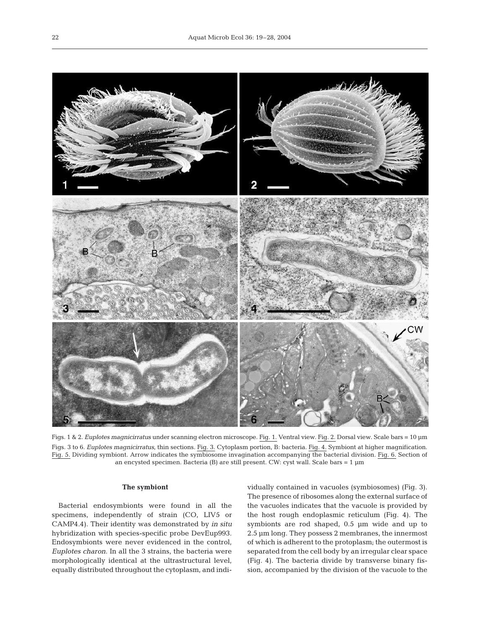

Figs. 1 & 2. *Euplotes magnicirratus* under scanning electron microscope. Fig. 1. Ventral view. Fig. 2. Dorsal view. Scale bars = 10 µm Figs. 3 to 6. *Euplotes magnicirratus,* thin sections. Fig. 3. Cytoplasm portion, B: bacteria. Fig. 4. Symbiont at higher magnification. Fig. 5. Dividing symbiont. Arrow indicates the symbiosome invagination accompanying the bacterial division. Fig. 6. Section of an encysted specimen. Bacteria (B) are still present. CW: cyst wall. Scale bars = 1 µm

# **The symbiont**

Bacterial endosymbionts were found in all the specimens, independently of strain (CO, LIV5 or CAMP4.4). Their identity was demonstrated by *in situ* hybridization with species-specific probe DevEup993. Endosymbionts were never evidenced in the control, *Euplotes charon*. In all the 3 strains, the bacteria were morphologically identical at the ultrastructural level, equally distributed throughout the cytoplasm, and individually contained in vacuoles (symbiosomes) (Fig. 3). The presence of ribosomes along the external surface of the vacuoles indicates that the vacuole is provided by the host rough endoplasmic reticulum (Fig. 4). The symbionts are rod shaped, 0.5 µm wide and up to 2.5 µm long. They possess 2 membranes, the innermost of which is adherent to the protoplasm; the outermost is separated from the cell body by an irregular clear space (Fig. 4). The bacteria divide by transverse binary fission, accompanied by the division of the vacuole to the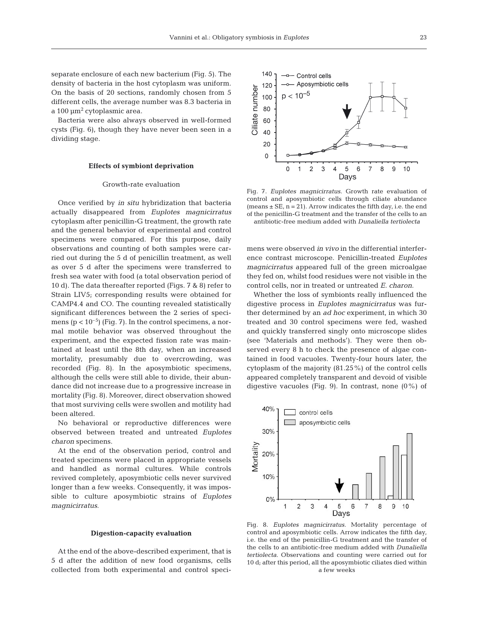separate enclosure of each new bacterium (Fig. 5). The density of bacteria in the host cytoplasm was uniform. On the basis of 20 sections, randomly chosen from 5 different cells, the average number was 8.3 bacteria in a  $100 \mu m^2$  cytoplasmic area.

Bacteria were also always observed in well-formed cysts (Fig. 6), though they have never been seen in a dividing stage.

## **Effects of symbiont deprivation**

## Growth-rate evaluation

Once verified by *in situ* hybridization that bacteria actually disappeared from *Euplotes magnicirratus* cytoplasm after penicillin-G treatment, the growth rate and the general behavior of experimental and control specimens were compared. For this purpose, daily observations and counting of both samples were carried out during the 5 d of penicillin treatment, as well as over 5 d after the specimens were transferred to fresh sea water with food (a total observation period of 10 d). The data thereafter reported (Figs. 7 & 8) refer to Strain LIV5; corresponding results were obtained for CAMP4.4 and CO. The counting revealed statistically significant differences between the 2 series of specimens ( $p < 10^{-5}$ ) (Fig. 7). In the control specimens, a normal motile behavior was observed throughout the experiment, and the expected fission rate was maintained at least until the 8th day, when an increased mortality, presumably due to overcrowding, was recorded (Fig. 8). In the aposymbiotic specimens, although the cells were still able to divide, their abundance did not increase due to a progressive increase in mortality (Fig. 8). Moreover, direct observation showed that most surviving cells were swollen and motility had been altered.

No behavioral or reproductive differences were observed between treated and untreated *Euplotes charon* specimens.

At the end of the observation period, control and treated specimens were placed in appropriate vessels and handled as normal cultures. While controls revived completely, aposymbiotic cells never survived longer than a few weeks. Consequently, it was impossible to culture aposymbiotic strains of *Euplotes magnicirratus*.

#### **Digestion-capacity evaluation**

At the end of the above-described experiment, that is 5 d after the addition of new food organisms, cells collected from both experimental and control speci-



Fig. 7. *Euplotes magnicirratus*. Growth rate evaluation of control and aposymbiotic cells through ciliate abundance (means  $\pm$  SE, n = 21). Arrow indicates the fifth day, i.e. the end of the penicillin-G treatment and the transfer of the cells to an antibiotic-free medium added with *Dunaliella tertiolecta*

mens were observed *in vivo* in the differential interference contrast microscope. Penicillin-treated *Euplotes magnicirratus* appeared full of the green microalgae they fed on, whilst food residues were not visible in the control cells, nor in treated or untreated *E. charon*.

Whether the loss of symbionts really influenced the digestive process in *Euplotes magnicirratus* was further determined by an *ad hoc* experiment, in which 30 treated and 30 control specimens were fed, washed and quickly transferred singly onto microscope slides (see 'Materials and methods'). They were then observed every 8 h to check the presence of algae contained in food vacuoles. Twenty-four hours later, the cytoplasm of the majority (81.25%) of the control cells appeared completely transparent and devoid of visible digestive vacuoles (Fig. 9). In contrast, none  $(0\%)$  of



Fig. 8. *Euplotes magnicirratus*. Mortality percentage of control and aposymbiotic cells. Arrow indicates the fifth day, i.e. the end of the penicillin-G treatment and the transfer of the cells to an antibiotic-free medium added with *Dunaliella tertiolecta*. Observations and counting were carried out for 10 d; after this period, all the aposymbiotic ciliates died within a few weeks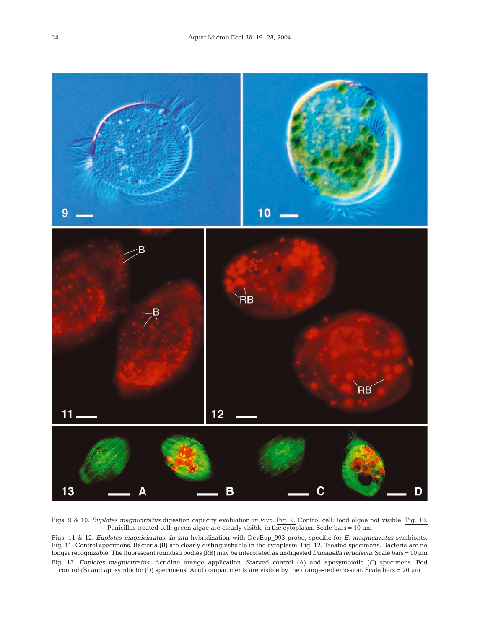

Figs. 9 & 10. *Euplotes magnicirratus* digestion capacity evaluation i*n vivo*. Fig. 9. Control cell: food algae not visible. Fig. 10. Penicillin-treated cell: green algae are clearly visible in the cytoplasm. Scale bars = 10 µm

Figs. 11 & 12. *Euplotes magnicirratus*. *In situ* hybridization with DevEup\_993 probe, specific for *E. magnicirratus* symbionts. Fig. 11. Control specimens. Bacteria (B) are clearly distinguishable in the cytoplasm. Fig. 12. Treated specimens. Bacteria are no longer recognizable. The fluorescent roundish bodies (RB) may be interpreted as undigested *Dunaliella tertiolecta*. Scale bars = 10 µm Fig. 13. *Euplotes magnicirratus*. Acridine orange application. Starved control (A) and aposymbiotic (C) specimens. Fed control (B) and aposymbiotic (D) specimens. Acid compartments are visible by the orange-red emission. Scale bars = 20 µm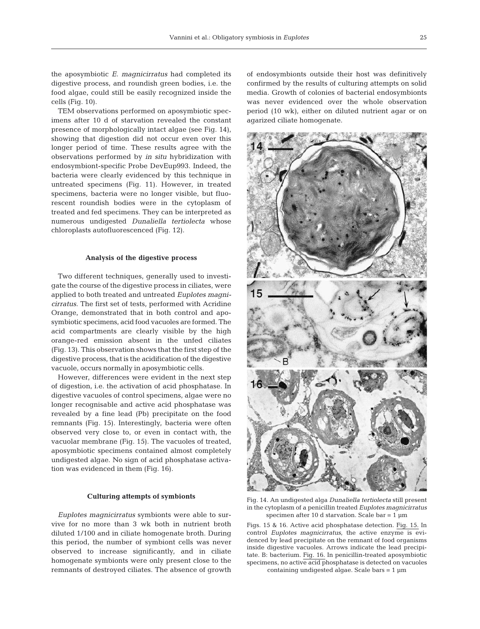the aposymbiotic *E. magnicirratus* had completed its digestive process, and roundish green bodies, i.e. the food algae, could still be easily recognized inside the cells (Fig. 10).

TEM observations performed on aposymbiotic specimens after 10 d of starvation revealed the constant presence of morphologically intact algae (see Fig. 14), showing that digestion did not occur even over this longer period of time. These results agree with the observations performed by *in situ* hybridization with endosymbiont-specific Probe DevEup993. Indeed, the bacteria were clearly evidenced by this technique in untreated specimens (Fig. 11). However, in treated specimens, bacteria were no longer visible, but fluorescent roundish bodies were in the cytoplasm of treated and fed specimens. They can be interpreted as numerous undigested *Dunaliella tertiolecta* whose chloroplasts autofluorescenced (Fig. 12).

## **Analysis of the digestive process**

Two different techniques, generally used to investigate the course of the digestive process in ciliates, were applied to both treated and untreated *Euplotes magnicirratus*. The first set of tests, performed with Acridine Orange, demonstrated that in both control and aposymbiotic specimens, acid food vacuoles are formed. The acid compartments are clearly visible by the high orange-red emission absent in the unfed ciliates (Fig. 13). This observation shows that the first step of the digestive process, that is the acidification of the digestive vacuole, occurs normally in aposymbiotic cells.

However, differences were evident in the next step of digestion, i.e. the activation of acid phosphatase. In digestive vacuoles of control specimens, algae were no longer recognisable and active acid phosphatase was revealed by a fine lead (Pb) precipitate on the food remnants (Fig. 15). Interestingly, bacteria were often observed very close to, or even in contact with, the vacuolar membrane (Fig. 15). The vacuoles of treated, aposymbiotic specimens contained almost completely undigested algae. No sign of acid phosphatase activation was evidenced in them (Fig. 16).

#### **Culturing attempts of symbionts**

*Euplotes magnicirratus* symbionts were able to survive for no more than 3 wk both in nutrient broth diluted 1/100 and in ciliate homogenate broth. During this period, the number of symbiont cells was never observed to increase significantly, and in ciliate homogenate symbionts were only present close to the remnants of destroyed ciliates. The absence of growth

of endosymbionts outside their host was definitively confirmed by the results of culturing attempts on solid media. Growth of colonies of bacterial endosymbionts was never evidenced over the whole observation period (10 wk), either on diluted nutrient agar or on agarized ciliate homogenate.



Fig. 14. An undigested alga *Dunaliella tertiolecta* still present in the cytoplasm of a penicillin treated *Euplotes magnicirratus* specimen after 10 d starvation. Scale bar =  $1 \mu m$ 

Figs. 15 & 16. Active acid phosphatase detection. Fig. 15. In control *Euplotes magnicirratus,* the active enzyme is evidenced by lead precipitate on the remnant of food organisms inside digestive vacuoles. Arrows indicate the lead precipitate. B: bacterium. Fig. 16. In penicillin-treated aposymbiotic specimens, no active acid phosphatase is detected on vacuoles

containing undigested algae. Scale bars  $= 1 \mu m$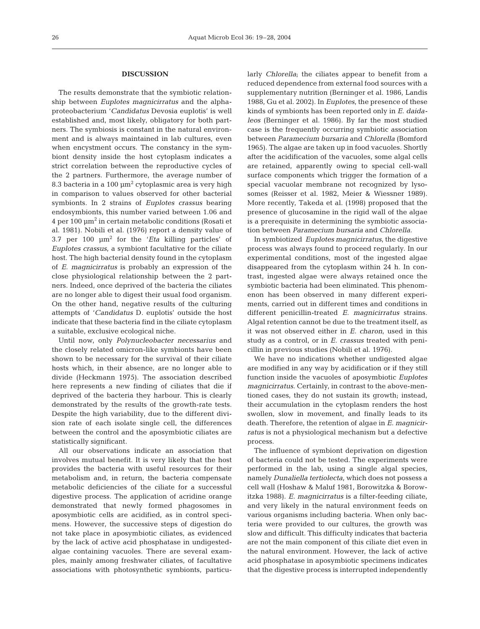#### **DISCUSSION**

The results demonstrate that the symbiotic relationship between *Euplotes magnicirratus* and the alphaproteobacterium '*Candidatus* Devosia euplotis' is well established and, most likely, obligatory for both partners. The symbiosis is constant in the natural environment and is always maintained in lab cultures, even when encystment occurs. The constancy in the symbiont density inside the host cytoplasm indicates a strict correlation between the reproductive cycles of the 2 partners. Furthermore, the average number of 8.3 bacteria in a 100  $\mu$ m<sup>2</sup> cytoplasmic area is very high in comparison to values observed for other bacterial symbionts. In 2 strains of *Euplotes crassus* bearing endosymbionts, this number varied between 1.06 and  $4 \text{ per } 100 \text{ }\mu\text{m}^2$  in certain metabolic conditions (Rosati et al. 1981). Nobili et al. (1976) report a density value of 3.7 per 100  $\mu$ m<sup>2</sup> for the '*Eta* killing particles' of *Euplotes crassus*, a symbiont facultative for the ciliate host. The high bacterial density found in the cytoplasm of *E. magnicirratus* is probably an expression of the close physiological relationship between the 2 partners. Indeed, once deprived of the bacteria the ciliates are no longer able to digest their usual food organism. On the other hand, negative results of the culturing attempts of '*Candidatus* D. euplotis' outside the host indicate that these bacteria find in the ciliate cytoplasm a suitable, exclusive ecological niche.

Until now, only *Polynucleobacter necessarius* and the closely related omicron-like symbionts have been shown to be necessary for the survival of their ciliate hosts which, in their absence, are no longer able to divide (Heckmann 1975). The association described here represents a new finding of ciliates that die if deprived of the bacteria they harbour. This is clearly demonstrated by the results of the growth-rate tests. Despite the high variability, due to the different division rate of each isolate single cell, the differences between the control and the aposymbiotic ciliates are statistically significant.

All our observations indicate an association that involves mutual benefit. It is very likely that the host provides the bacteria with useful resources for their metabolism and, in return, the bacteria compensate metabolic deficiencies of the ciliate for a successful digestive process. The application of acridine orange demonstrated that newly formed phagosomes in aposymbiotic cells are acidified, as in control specimens. However, the successive steps of digestion do not take place in aposymbiotic ciliates, as evidenced by the lack of active acid phosphatase in undigestedalgae containing vacuoles. There are several examples, mainly among freshwater ciliates, of facultative associations with photosynthetic symbionts, particularly *Chlorella*; the ciliates appear to benefit from a reduced dependence from external food sources with a supplementary nutrition (Berninger et al. 1986, Landis 1988, Gu et al. 2002). In *Euplotes*, the presence of these kinds of symbionts has been reported only in *E. daidaleos* (Berninger et al. 1986). By far the most studied case is the frequently occurring symbiotic association between *Paramecium bursaria* and *Chlorella* (Bomford 1965). The algae are taken up in food vacuoles. Shortly after the acidification of the vacuoles, some algal cells are retained, apparently owing to special cell-wall surface components which trigger the formation of a special vacuolar membrane not recognized by lysosomes (Reisser et al. 1982, Meier & Wiessner 1989). More recently, Takeda et al. (1998) proposed that the presence of glucosamine in the rigid wall of the algae is a prerequisite in determining the symbiotic association between *Paramecium bursaria* and *Chlorella*.

In symbiotized *Euplotes magnicirratus*, the digestive process was always found to proceed regularly. In our experimental conditions, most of the ingested algae disappeared from the cytoplasm within 24 h. In contrast, ingested algae were always retained once the symbiotic bacteria had been eliminated. This phenomenon has been observed in many different experiments, carried out in different times and conditions in different penicillin-treated *E. magnicirratus* strains. Algal retention cannot be due to the treatment itself, as it was not observed either in *E. charon*, used in this study as a control, or in *E. crassus* treated with penicillin in previous studies (Nobili et al. 1976).

We have no indications whether undigested algae are modified in any way by acidification or if they still function inside the vacuoles of aposymbiotic *Euplotes magnicirratus*. Certainly, in contrast to the above-mentioned cases, they do not sustain its growth; instead, their accumulation in the cytoplasm renders the host swollen, slow in movement, and finally leads to its death. Therefore, the retention of algae in *E. magnicirratus* is not a physiological mechanism but a defective process.

The influence of symbiont deprivation on digestion of bacteria could not be tested. The experiments were performed in the lab, using a single algal species, namely *Dunaliella tertiolecta*, which does not possess a cell wall (Hoshaw & Maluf 1981, Borowitzka & Borowitzka 1988). *E. magnicirratus* is a filter-feeding ciliate, and very likely in the natural environment feeds on various organisms including bacteria. When only bacteria were provided to our cultures, the growth was slow and difficult. This difficulty indicates that bacteria are not the main component of this ciliate diet even in the natural environment. However, the lack of active acid phosphatase in aposymbiotic specimens indicates that the digestive process is interrupted independently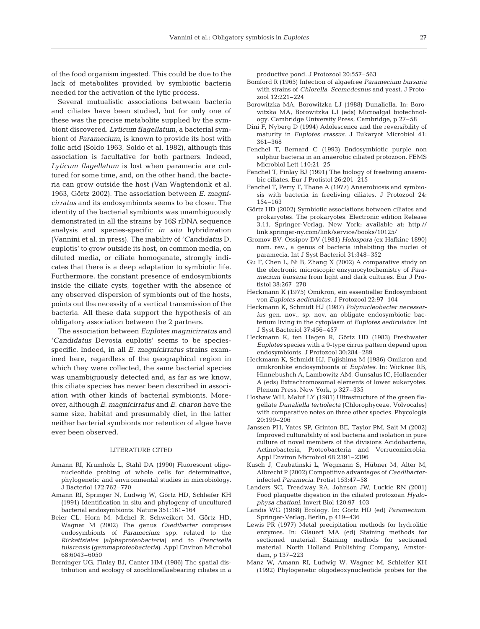of the food organism ingested. This could be due to the lack of metabolites provided by symbiotic bacteria needed for the activation of the lytic process.

Several mutualistic associations between bacteria and ciliates have been studied, but for only one of these was the precise metabolite supplied by the symbiont discovered. *Lyticum flagellatum*, a bacterial symbiont of *Paramecium*, is known to provide its host with folic acid (Soldo 1963, Soldo et al. 1982), although this association is facultative for both partners. Indeed, *Lyticum flagellatum* is lost when paramecia are cultured for some time, and, on the other hand, the bacteria can grow outside the host (Van Wagtendonk et al. 1963, Görtz 2002). The association between *E. magnicirratus* and its endosymbionts seems to be closer. The identity of the bacterial symbionts was unambiguously demonstrated in all the strains by 16S rDNA sequence analysis and species-specific *in situ* hybridization (Vannini et al. in press). The inability of '*Candidatus* D. euplotis' to grow outside its host, on common media, on diluted media, or ciliate homogenate, strongly indicates that there is a deep adaptation to symbiotic life. Furthermore, the constant presence of endosymbionts inside the ciliate cysts, together with the absence of any observed dispersion of symbionts out of the hosts, points out the necessity of a vertical transmission of the bacteria. All these data support the hypothesis of an obligatory association between the 2 partners.

The association between *Euplotes magnicirratus* and '*Candidatus* Devosia euplotis' seems to be speciesspecific. Indeed, in all *E. magnicirratus* strains examined here, regardless of the geographical region in which they were collected, the same bacterial species was unambiguously detected and, as far as we know, this ciliate species has never been described in association with other kinds of bacterial symbionts. Moreover, although *E. magnicirratus* and *E. charon* have the same size, habitat and presumably diet, in the latter neither bacterial symbionts nor retention of algae have ever been observed.

### LITERATURE CITED

- Amann RI, Krumholz L, Stahl DA (1990) Fluorescent oligonucleotide probing of whole cells for determinative, phylogenetic and environmental studies in microbiology. J Bacteriol 172:762–770
- Amann RI, Springer N, Ludwig W, Görtz HD, Schleifer KH (1991) Identification in situ and phylogeny of uncultured bacterial endosymbionts. Nature 351:161–164
- Beier CL, Horn M, Michel R, Schweikert M, Görtz HD, Wagner M (2002) The genus *Caedibacter* comprises endosymbionts of *Paramecium* spp. related to the *Rickettsiales (alphaproteobacteria)* and to *Francisella tularensis (gammaproteobacteria)*. Appl Environ Microbol 68:6043–6050
- Berninger UG, Finlay BJ, Canter HM (1986) The spatial distribution and ecology of zoochlorellaebearing ciliates in a

productive pond. J Protozool 20:557–563

- Bomford R (1965) Infection of algaefree *Paramecium bursaria* with strains of *Chlorella*, *Scemedesnus* and yeast. J Protozool 12:221–224
- Borowitzka MA, Borowitzka LJ (1988) Dunaliella. In: Borowitzka MA, Borowitzka LJ (eds) Microalgal biotechnology. Cambridge University Press, Cambridge, p 27–58
- Dini F, Nyberg D (1994) Adolescence and the reversibility of maturity in *Euplotes crassus*. J Eukaryot Microbiol 41: 361–368
- Fenchel T, Bernard C (1993) Endosymbiotic purple non sulphur bacteria in an anaerobic ciliated protozoon. FEMS Microbiol Lett 110:21–25
- Fenchel T, Finlay BJ (1991) The biology of freeliving anaerobic ciliates. Eur J Protistol 26:201–215
- Fenchel T, Perry T, Thane A (1977) Anaerobiosis and symbiosis with bacteria in freeliving ciliates. J Protozool 24: 154–163
- Görtz HD (2002) Symbiotic associations between ciliates and prokaryotes. The prokaryotes. Electronic edition Release 3.11, Springer-Verlag, New York; available at: http:// link.springer-ny.com/link/service/books/10125/
- Gromov BV, Ossipov DV (1981) *Holospora* (ex Hafkine 1890) nom. rev., a genus of bacteria inhabiting the nuclei of paramecia. Int J Syst Bacteriol 31:348–352
- Gu F, Chen L, Ni B, Zhang X (2002) A comparative study on the electronic microscopic enzymocytochemistry of *Paramecium bursaria* from light and dark cultures. Eur J Protistol 38:267–278
- Heckmann K (1975) Omikron, ein essentieller Endosymbiont von *Euplotes aediculatus*. J Protozool 22:97–104
- Heckmann K, Schmidt HJ (1987) *Polynucleobacter necessarius* gen. nov., sp. nov. an obligate endosymbiotic bacterium living in the cytoplasm of *Euplotes aediculatus*. Int J Syst Bacteriol 37:456–457
- Heckmann K, ten Hagen R, Görtz HD (1983) Freshwater *Euplotes* species with a 9-type cirrus pattern depend upon endosymbionts. J Protozool 30:284–289
- Heckmann K, Schmidt HJ, Fujishima M (1986) Omikron and omikronlike endosymbionts of *Euplotes*. In: Wickner RB, Hinnebushch A, Lambowitz AM, Gunsalus IC, Hollaender A (eds) Extrachromosomal elements of lower eukaryotes. Plenum Press, New York, p 327–335
- Hoshaw WH, Maluf LY (1981) Ultrastructure of the green flagellate *Dunaliella tertiolecta* (Chlorophyceae, Volvocales) with comparative notes on three other species. Phycologia 20:199–206
- Janssen PH, Yates SP, Grinton BE, Taylor PM, Sait M (2002) Improved culturability of soil bacteria and isolation in pure culture of novel members of the divisions Acidobacteria, Actinobacteria, Proteobacteria and Verrucomicrobia. Appl Environ Microbiol 68:2391–2396
- Kusch J, Czubatinski L, Wegmann S, Hübner M, Alter M, Albrecht P (2002) Competitive advantages of *Caedibacter*infected *Paramecia*. Protist 153:47–58
- Landers SC, Treadway RA, Johnson JW, Luckie RN (2001) Food plaquette digestion in the ciliated protozoan *Hyalophysa chattoni*. Invert Biol 120:97–103
- Landis WG (1988) Ecology. In: Görtz HD (ed) *Paramecium*. Springer-Verlag, Berlin, p 419–436
- Lewis PR (1977) Metal precipitation methods for hydrolitic enzymes. In: Glauert MA (ed) Staining methods for sectioned material. Staining methods for sectioned material. North Holland Publishing Company, Amsterdam, p 137–223
- Manz W, Amann RI, Ludwig W, Wagner M, Schleifer KH (1992) Phylogenetic oligodeoxynucleotide probes for the